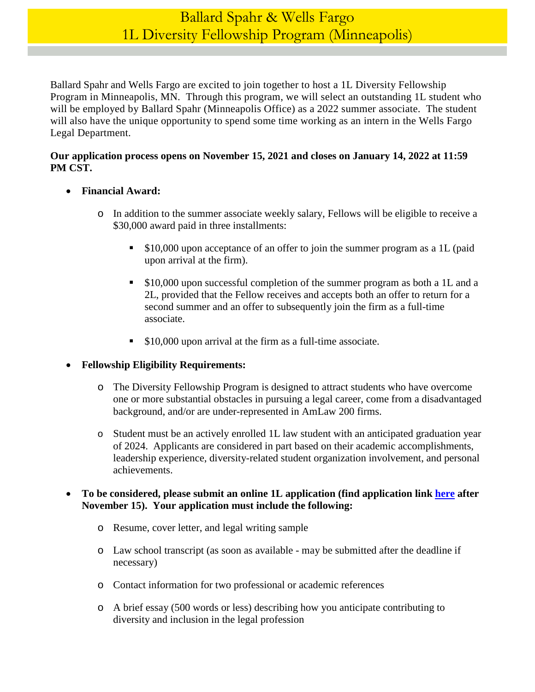# Ballard Spahr & Wells Fargo 1L Diversity Fellowship Program (Minneapolis)

Ballard Spahr and Wells Fargo are excited to join together to host a 1L Diversity Fellowship Program in Minneapolis, MN. Through this program, we will select an outstanding 1L student who will be employed by Ballard Spahr (Minneapolis Office) as a 2022 summer associate. The student will also have the unique opportunity to spend some time working as an intern in the Wells Fargo Legal Department.

### **Our application process opens on November 15, 2021 and closes on January 14, 2022 at 11:59 PM CST.**

- **Financial Award:** 
	- o In addition to the summer associate weekly salary, Fellows will be eligible to receive a \$30,000 award paid in three installments:
		- **S10,000 upon acceptance of an offer to join the summer program as a 1L (paid** upon arrival at the firm).
		- **S10,000 upon successful completion of the summer program as both a 1L and a** 2L, provided that the Fellow receives and accepts both an offer to return for a second summer and an offer to subsequently join the firm as a full-time associate.
		- **S10,000 upon arrival at the firm as a full-time associate.**

## **Fellowship Eligibility Requirements:**

- o The Diversity Fellowship Program is designed to attract students who have overcome one or more substantial obstacles in pursuing a legal career, come from a disadvantaged background, and/or are under-represented in AmLaw 200 firms.
- o Student must be an actively enrolled 1L law student with an anticipated graduation year of 2024. Applicants are considered in part based on their academic accomplishments, leadership experience, diversity-related student organization involvement, and personal achievements.

#### **To be considered, please submit an online 1L application (find application link [here](https://www.ballardspahr.com/Careers/Law-Students/Law-Students-Apply) after November 15). Your application must include the following:**

- o Resume, cover letter, and legal writing sample
- o Law school transcript (as soon as available may be submitted after the deadline if necessary)
- o Contact information for two professional or academic references
- o A brief essay (500 words or less) describing how you anticipate contributing to diversity and inclusion in the legal profession